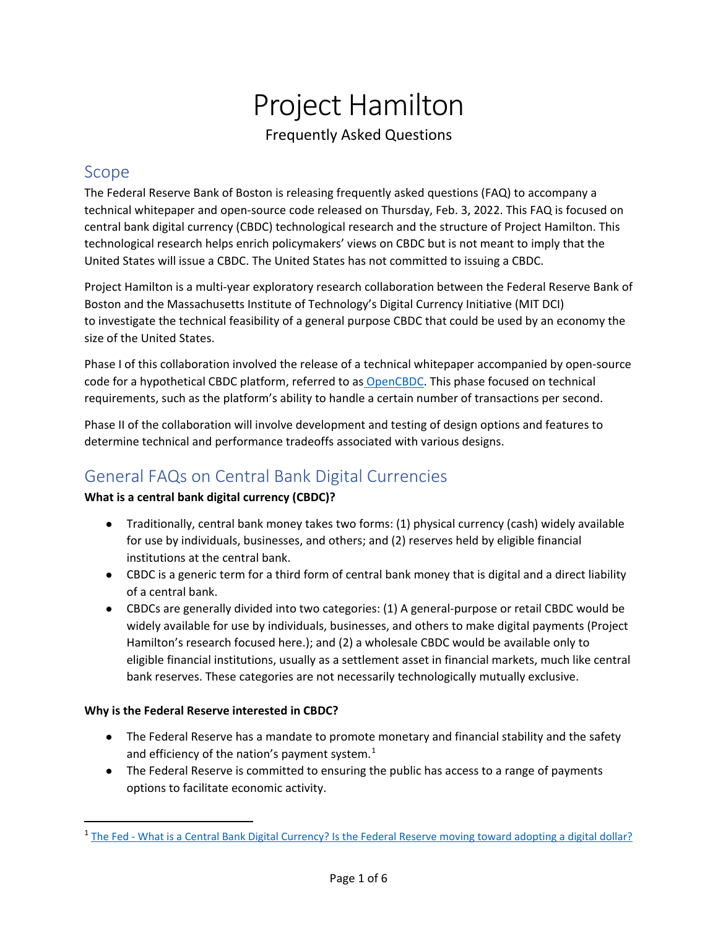# Project Hamilton Frequently Asked Questions

# Scope

The Federal Reserve Bank of Boston is releasing frequently asked questions (FAQ) to accompany a technical whitepaper and open-source code released on Thursday, Feb. 3, 2022. This FAQ is focused on central bank digital currency (CBDC) technological research and the structure of Project Hamilton. This technological research helps enrich policymakers' views on CBDC but is not meant to imply that the United States will issue a CBDC. The United States has not committed to issuing a CBDC.

Project Hamilton is a multi-year exploratory research collaboration between the Federal Reserve Bank of Boston and the Massachusetts Institute of Technology's Digital Currency Initiative (MIT DCI) to investigate the technical feasibility of a general purpose CBDC that could be used by an economy the size of the United States.

Phase I of this collaboration involved the release of a technical whitepaper accompanied by open-source code for a hypothetical CBDC platform, referred to as [OpenCBDC.](https://github.com/mit-dci/opencbdc-tx) This phase focused on technical requirements, such as the platform's ability to handle a certain number of transactions per second.

Phase II of the collaboration will involve development and testing of design options and features to determine technical and performance tradeoffs associated with various designs.

# General FAQs on Central Bank Digital Currencies

## **What is a central bank digital currency (CBDC)?**

- Traditionally, central bank money takes two forms: (1) physical currency (cash) widely available for use by individuals, businesses, and others; and (2) reserves held by eligible financial institutions at the central bank.
- CBDC is a generic term for a third form of central bank money that is digital and a direct liability of a central bank.
- CBDCs are generally divided into two categories: (1) A general-purpose or retail CBDC would be widely available for use by individuals, businesses, and others to make digital payments (Project Hamilton's research focused here.); and (2) a wholesale CBDC would be available only to eligible financial institutions, usually as a settlement asset in financial markets, much like central bank reserves. These categories are not necessarily technologically mutually exclusive.

## **Why is the Federal Reserve interested in CBDC?**

- The Federal Reserve has a mandate to promote monetary and financial stability and the safety and efficiency of the nation's payment system. $1$
- The Federal Reserve is committed to ensuring the public has access to a range of payments options to facilitate economic activity.

<span id="page-0-0"></span><sup>&</sup>lt;sup>1</sup> The Fed - [What is a Central Bank Digital Currency? Is the Federal Reserve moving toward adopting a digital dollar?](https://www.federalreserve.gov/faqs/what-is-a-central-bank-digital-currency.htm#:%7E:text=The%20Federal%20Reserve%20has%20a,can%20effectively%20provide%20payment%20services.)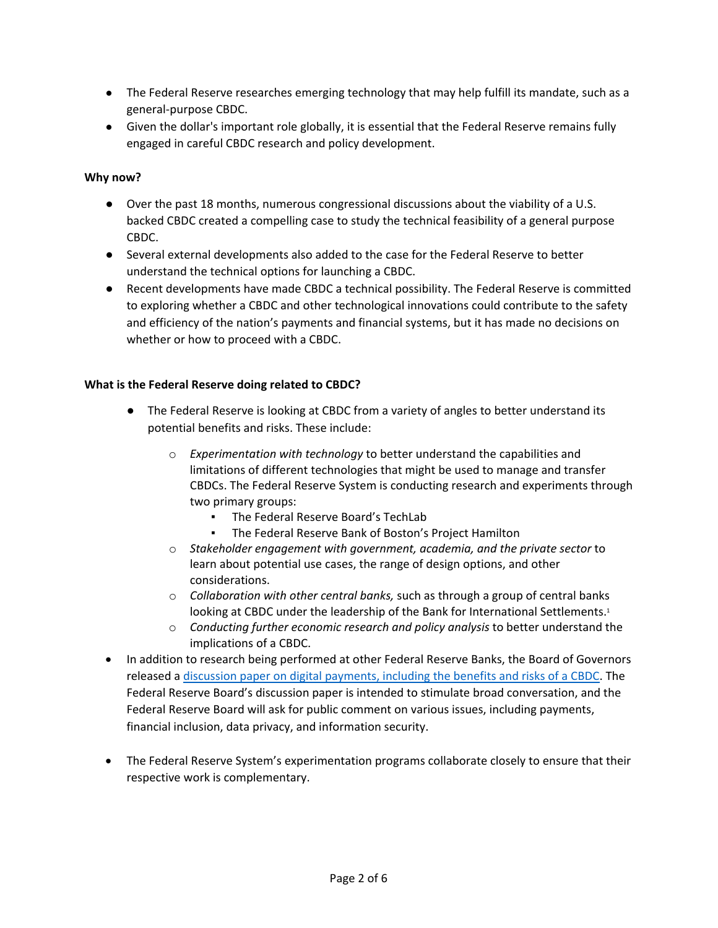- The Federal Reserve researches emerging technology that may help fulfill its mandate, such as a general-purpose CBDC.
- Given the dollar's important role globally, it is essential that the Federal Reserve remains fully engaged in careful CBDC research and policy development.

#### **Why now?**

- Over the past 18 months, numerous congressional discussions about the viability of a U.S. backed CBDC created a compelling case to study the technical feasibility of a general purpose CBDC.
- Several external developments also added to the case for the Federal Reserve to better understand the technical options for launching a CBDC.
- Recent developments have made CBDC a technical possibility. The Federal Reserve is committed to exploring whether a CBDC and other technological innovations could contribute to the safety and efficiency of the nation's payments and financial systems, but it has made no decisions on whether or how to proceed with a CBDC.

#### **What is the Federal Reserve doing related to CBDC?**

- The Federal Reserve is looking at CBDC from a variety of angles to better understand its potential benefits and risks. These include:
	- o *Experimentation with technology* to better understand the capabilities and limitations of different technologies that might be used to manage and transfer CBDCs. The Federal Reserve System is conducting research and experiments through two primary groups:
		- The Federal Reserve Board's TechLab
		- The Federal Reserve Bank of Boston's Project Hamilton
	- o *Stakeholder engagement with government, academia, and the private sector* to learn about potential use cases, the range of design options, and other considerations.
	- o *Collaboration with other central banks,* such as through a group of central banks looking at CBDC under the leadership of the Bank for International Settlements.<sup>1</sup>
	- o *Conducting further economic research and policy analysis* to better understand the implications of a CBDC.
- In addition to research being performed at other Federal Reserve Banks, the Board of Governors released a discussion paper on digital payments, [including the benefits and risks of a CBDC.](https://www.federalreserve.gov/publications/files/money-and-payments-20220120.pdf) The Federal Reserve Board's discussion paper is intended to stimulate broad conversation, and the Federal Reserve Board will ask for public comment on various issues, including payments, financial inclusion, data privacy, and information security.
- The Federal Reserve System's experimentation programs collaborate closely to ensure that their respective work is complementary.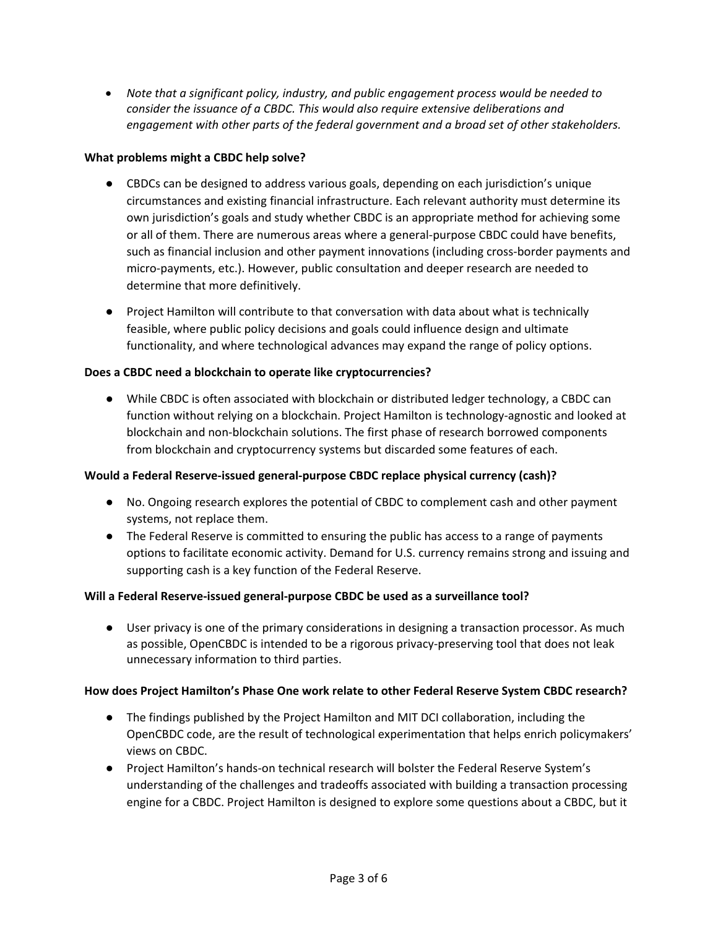• *Note that a significant policy, industry, and public engagement process would be needed to consider the issuance of a CBDC. This would also require extensive deliberations and engagement with other parts of the federal government and a broad set of other stakeholders.* 

#### **What problems might a CBDC help solve?**

- CBDCs can be designed to address various goals, depending on each jurisdiction's unique circumstances and existing financial infrastructure. Each relevant authority must determine its own jurisdiction's goals and study whether CBDC is an appropriate method for achieving some or all of them. There are numerous areas where a general-purpose CBDC could have benefits, such as financial inclusion and other payment innovations (including cross-border payments and micro-payments, etc.). However, public consultation and deeper research are needed to determine that more definitively.
- Project Hamilton will contribute to that conversation with data about what is technically feasible, where public policy decisions and goals could influence design and ultimate functionality, and where technological advances may expand the range of policy options.

#### **Does a CBDC need a blockchain to operate like cryptocurrencies?**

● While CBDC is often associated with blockchain or distributed ledger technology, a CBDC can function without relying on a blockchain. Project Hamilton is technology-agnostic and looked at blockchain and non-blockchain solutions. The first phase of research borrowed components from blockchain and cryptocurrency systems but discarded some features of each.

## **Would a Federal Reserve-issued general-purpose CBDC replace physical currency (cash)?**

- No. Ongoing research explores the potential of CBDC to complement cash and other payment systems, not replace them.
- The Federal Reserve is committed to ensuring the public has access to a range of payments options to facilitate economic activity. Demand for U.S. currency remains strong and issuing and supporting cash is a key function of the Federal Reserve.

## **Will a Federal Reserve-issued general-purpose CBDC be used as a surveillance tool?**

● User privacy is one of the primary considerations in designing a transaction processor. As much as possible, OpenCBDC is intended to be a rigorous privacy-preserving tool that does not leak unnecessary information to third parties.

#### **How does Project Hamilton's Phase One work relate to other Federal Reserve System CBDC research?**

- The findings published by the Project Hamilton and MIT DCI collaboration, including the OpenCBDC code, are the result of technological experimentation that helps enrich policymakers' views on CBDC.
- Project Hamilton's hands-on technical research will bolster the Federal Reserve System's understanding of the challenges and tradeoffs associated with building a transaction processing engine for a CBDC. Project Hamilton is designed to explore some questions about a CBDC, but it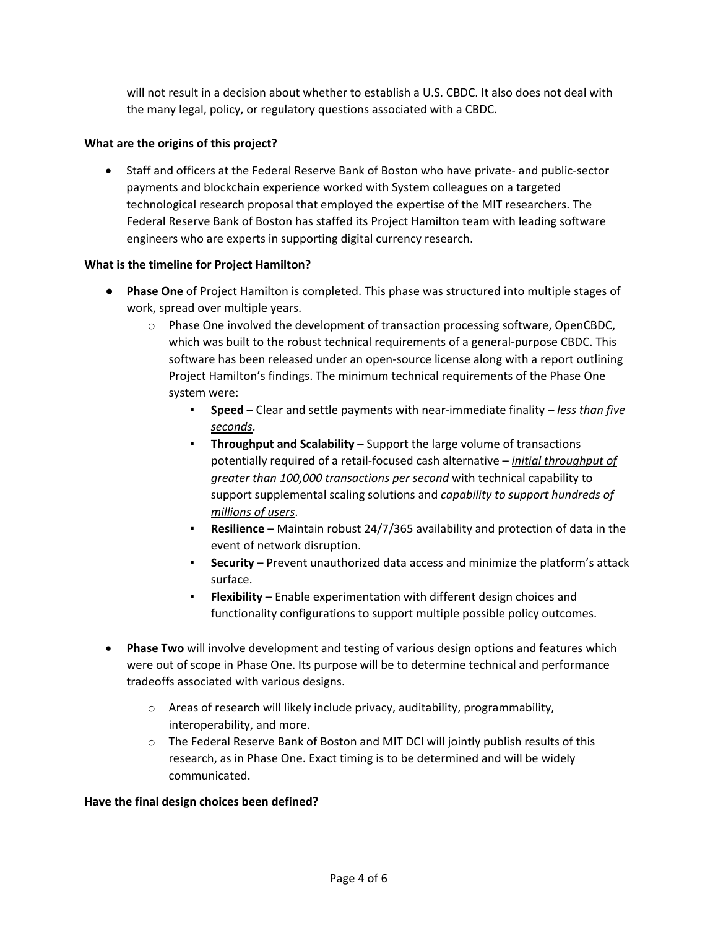will not result in a decision about whether to establish a U.S. CBDC. It also does not deal with the many legal, policy, or regulatory questions associated with a CBDC.

#### **What are the origins of this project?**

• Staff and officers at the Federal Reserve Bank of Boston who have private- and public-sector payments and blockchain experience worked with System colleagues on a targeted technological research proposal that employed the expertise of the MIT researchers. The Federal Reserve Bank of Boston has staffed its Project Hamilton team with leading software engineers who are experts in supporting digital currency research.

#### **What is the timeline for Project Hamilton?**

- **Phase One** of Project Hamilton is completed. This phase was structured into multiple stages of work, spread over multiple years.
	- $\circ$  Phase One involved the development of transaction processing software, OpenCBDC, which was built to the robust technical requirements of a general-purpose CBDC. This software has been released under an open-source license along with a report outlining Project Hamilton's findings. The minimum technical requirements of the Phase One system were:
		- **Speed** Clear and settle payments with near-immediate finality *– less than five seconds*.
		- **Throughput and Scalability** Support the large volume of transactions potentially required of a retail-focused cash alternative – *initial throughput of greater than 100,000 transactions per second* with technical capability to support supplemental scaling solutions and *capability to support hundreds of millions of users*.
		- **Resilience** Maintain robust 24/7/365 availability and protection of data in the event of network disruption.
		- **Security** Prevent unauthorized data access and minimize the platform's attack surface.
		- **Flexibility** Enable experimentation with different design choices and functionality configurations to support multiple possible policy outcomes.
- **Phase Two** will involve development and testing of various design options and features which were out of scope in Phase One. Its purpose will be to determine technical and performance tradeoffs associated with various designs.
	- o Areas of research will likely include privacy, auditability, programmability, interoperability, and more.
	- o The Federal Reserve Bank of Boston and MIT DCI will jointly publish results of this research, as in Phase One. Exact timing is to be determined and will be widely communicated.

#### **Have the final design choices been defined?**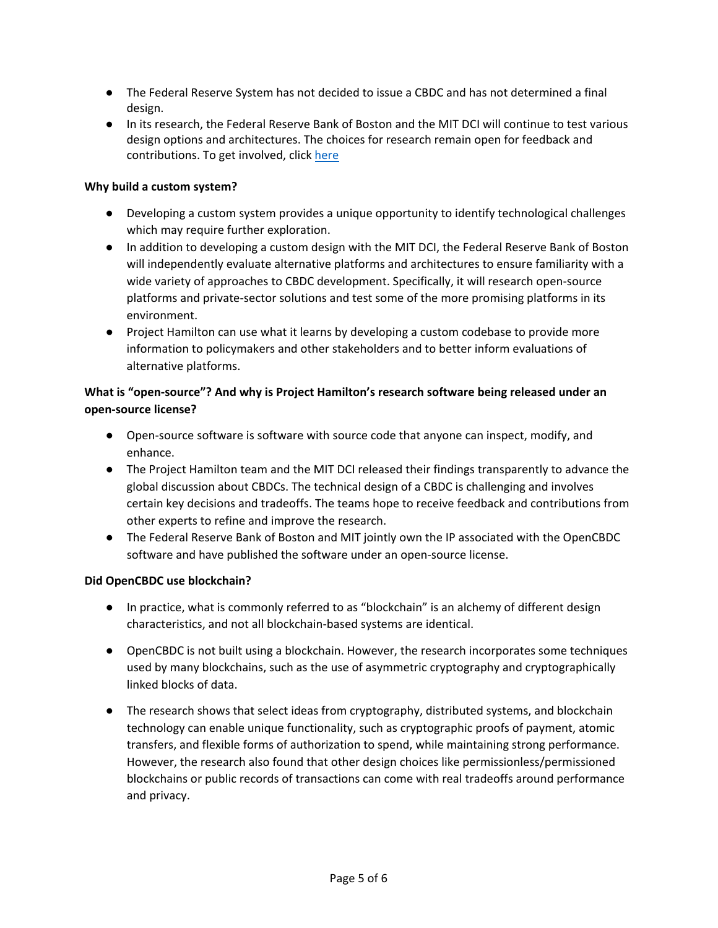- The Federal Reserve System has not decided to issue a CBDC and has not determined a final design.
- In its research, the Federal Reserve Bank of Boston and the MIT DCI will continue to test various design options and architectures. The choices for research remain open for feedback and contributions. To get involved, click [here](https://github.com/mit-dci/opencbdc-tx)

## **Why build a custom system?**

- Developing a custom system provides a unique opportunity to identify technological challenges which may require further exploration.
- In addition to developing a custom design with the MIT DCI, the Federal Reserve Bank of Boston will independently evaluate alternative platforms and architectures to ensure familiarity with a wide variety of approaches to CBDC development. Specifically, it will research open-source platforms and private-sector solutions and test some of the more promising platforms in its environment.
- Project Hamilton can use what it learns by developing a custom codebase to provide more information to policymakers and other stakeholders and to better inform evaluations of alternative platforms.

# **What is "open-source"? And why is Project Hamilton's research software being released under an open-source license?**

- Open-source software is software with source code that anyone can inspect, modify, and enhance.
- The Project Hamilton team and the MIT DCI released their findings transparently to advance the global discussion about CBDCs. The technical design of a CBDC is challenging and involves certain key decisions and tradeoffs. The teams hope to receive feedback and contributions from other experts to refine and improve the research.
- The Federal Reserve Bank of Boston and MIT jointly own the IP associated with the OpenCBDC software and have published the software under an open-source license.

#### **Did OpenCBDC use blockchain?**

- In practice, what is commonly referred to as "blockchain" is an alchemy of different design characteristics, and not all blockchain-based systems are identical.
- OpenCBDC is not built using a blockchain. However, the research incorporates some techniques used by many blockchains, such as the use of asymmetric cryptography and cryptographically linked blocks of data.
- The research shows that select ideas from cryptography, distributed systems, and blockchain technology can enable unique functionality, such as cryptographic proofs of payment, atomic transfers, and flexible forms of authorization to spend, while maintaining strong performance. However, the research also found that other design choices like permissionless/permissioned blockchains or public records of transactions can come with real tradeoffs around performance and privacy.